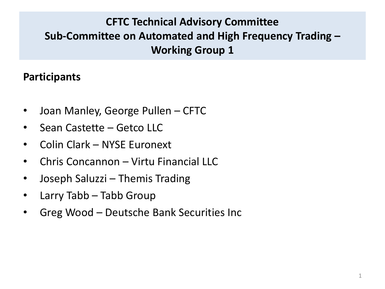#### **Participants**

- Joan Manley, George Pullen CFTC
- Sean Castette Getco LLC
- Colin Clark NYSE Euronext
- Chris Concannon Virtu Financial LLC
- Joseph Saluzzi Themis Trading
- Larry Tabb Tabb Group
- Greg Wood Deutsche Bank Securities Inc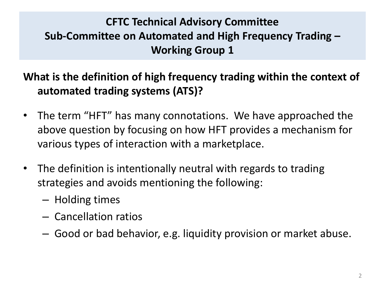**What is the definition of high frequency trading within the context of automated trading systems (ATS)?**

- The term "HFT" has many connotations. We have approached the above question by focusing on how HFT provides a mechanism for various types of interaction with a marketplace.
- The definition is intentionally neutral with regards to trading strategies and avoids mentioning the following:
	- Holding times
	- Cancellation ratios
	- Good or bad behavior, e.g. liquidity provision or market abuse.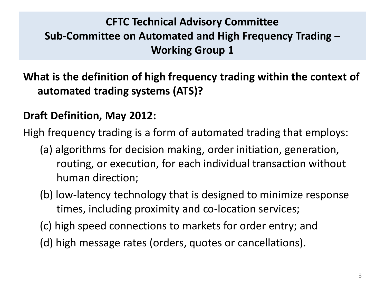**What is the definition of high frequency trading within the context of automated trading systems (ATS)?**

#### **Draft Definition, May 2012:**

High frequency trading is a form of automated trading that employs:

- (a) algorithms for decision making, order initiation, generation, routing, or execution, for each individual transaction without human direction;
- (b) low-latency technology that is designed to minimize response times, including proximity and co-location services;
- (c) high speed connections to markets for order entry; and
- (d) high message rates (orders, quotes or cancellations).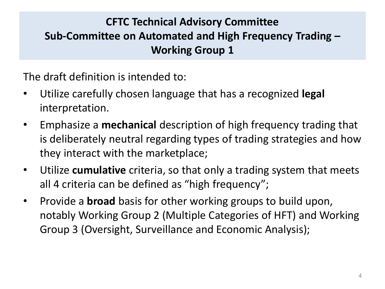The draft definition is intended to:

- Utilize carefully chosen language that has a recognized **legal** interpretation.
- Emphasize a **mechanical** description of high frequency trading that is deliberately neutral regarding types of trading strategies and how they interact with the marketplace;
- Utilize **cumulative** criteria, so that only a trading system that meets all 4 criteria can be defined as "high frequency";
- Provide a **broad** basis for other working groups to build upon, notably Working Group 2 (Multiple Categories of HFT) and Working Group 3 (Oversight, Surveillance and Economic Analysis);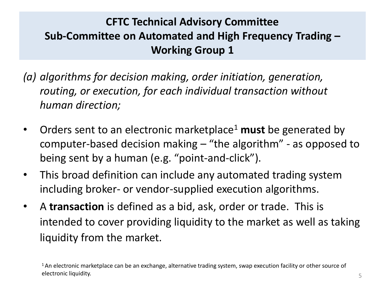- *(a) algorithms for decision making, order initiation, generation, routing, or execution, for each individual transaction without human direction;*
- Orders sent to an electronic marketplace<sup>1</sup> must be generated by computer-based decision making – "the algorithm" - as opposed to being sent by a human (e.g. "point-and-click").
- This broad definition can include any automated trading system including broker- or vendor-supplied execution algorithms.
- A **transaction** is defined as a bid, ask, order or trade. This is intended to cover providing liquidity to the market as well as taking liquidity from the market.

<sup>&</sup>lt;sup>1</sup>An electronic marketplace can be an exchange, alternative trading system, swap execution facility or other source of electronic liquidity.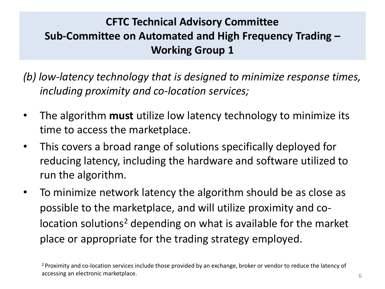*(b) low-latency technology that is designed to minimize response times, including proximity and co-location services;* 

- The algorithm **must** utilize low latency technology to minimize its time to access the marketplace.
- This covers a broad range of solutions specifically deployed for reducing latency, including the hardware and software utilized to run the algorithm.
- To minimize network latency the algorithm should be as close as possible to the marketplace, and will utilize proximity and colocation solutions<sup>2</sup> depending on what is available for the market place or appropriate for the trading strategy employed.

<sup>2</sup>Proximity and co-location services include those provided by an exchange, broker or vendor to reduce the latency of accessing an electronic marketplace.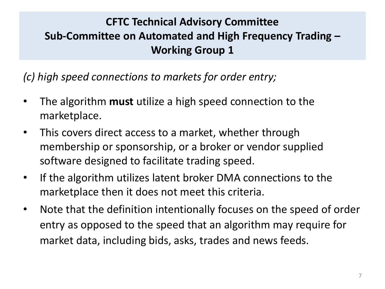*(c) high speed connections to markets for order entry;* 

- The algorithm **must** utilize a high speed connection to the marketplace.
- This covers direct access to a market, whether through membership or sponsorship, or a broker or vendor supplied software designed to facilitate trading speed.
- If the algorithm utilizes latent broker DMA connections to the marketplace then it does not meet this criteria.
- Note that the definition intentionally focuses on the speed of order entry as opposed to the speed that an algorithm may require for market data, including bids, asks, trades and news feeds.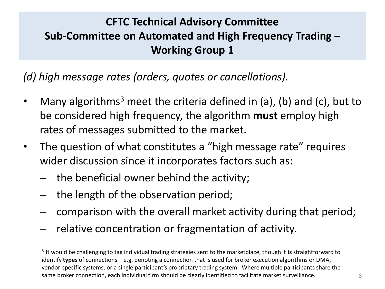*(d) high message rates (orders, quotes or cancellations).*

- Many algorithms<sup>3</sup> meet the criteria defined in (a), (b) and (c), but to be considered high frequency, the algorithm **must** employ high rates of messages submitted to the market.
- The question of what constitutes a "high message rate" requires wider discussion since it incorporates factors such as:
	- the beneficial owner behind the activity;
	- the length of the observation period;
	- comparison with the overall market activity during that period;
	- relative concentration or fragmentation of activity.

<sup>3</sup>It would be challenging to tag individual trading strategies sent to the marketplace, though it **is** straightforward to identify **types** of connections – e.g. denoting a connection that is used for broker execution algorithms or DMA, vendor-specific systems, or a single participant's proprietary trading system. Where multiple participants share the same broker connection, each individual firm should be clearly identified to facilitate market surveillance.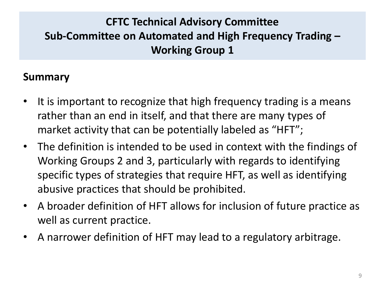#### **Summary**

- It is important to recognize that high frequency trading is a means rather than an end in itself, and that there are many types of market activity that can be potentially labeled as "HFT";
- The definition is intended to be used in context with the findings of Working Groups 2 and 3, particularly with regards to identifying specific types of strategies that require HFT, as well as identifying abusive practices that should be prohibited.
- A broader definition of HFT allows for inclusion of future practice as well as current practice.
- A narrower definition of HFT may lead to a regulatory arbitrage.